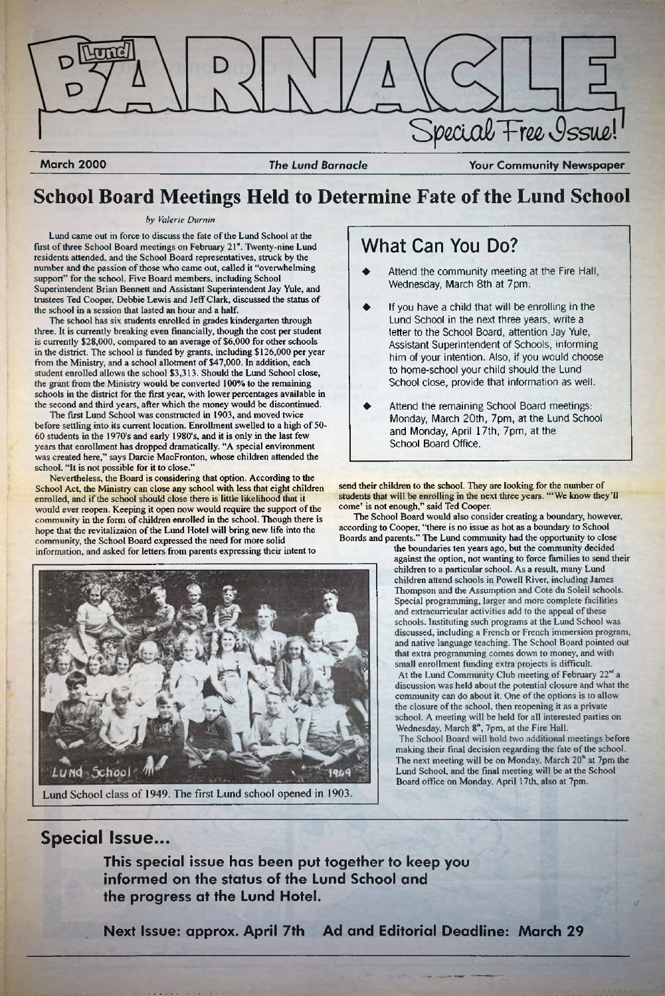

**March 2000** *The Lund Barnacle* **Your Community Newspaper**

## **School Board Meetings Held to Determine Fate of the Lund School**

### *by Valerie Durnin*

Lund came out in force to discuss the fate of the Lund School at the first of three School Board meetings on February 21". Twenty-nine Lund residents attended, and the School Board representatives, struck by the number and the passion of those who came out, called it "overwhelming support" for the school. Five Board members, including School Superintendent Brian Bennett and Assistant Superintendent Jay Yule, and trustees Ted Cooper, Debbie Lewis and Jeff Clark, discussed the status of the school in a session that lasted an hour and a half.

The school has six students enrolled in grades kindergarten through three. It is currently breaking even financially, though the cost per student is currently \$28,000, compared to an average of \$6,000 for other schools in the district. The school is funded by grants, including \$126,000 per year from the Ministry, and a school allotment of \$47,000. In addition, each student enrolled allows the school \$3,313. Should the Lund School close, the grant from the Ministry would be converted 100% to the remaining schools in the district for the first year, with lower percentages available in the second and third years, after which the money would be discontinued.

- Attend the community meeting at the Fire Hall, Wednesday, March 8th at 7pm.
- If you have a child that will be enrolling in the Lund School in the next three years, write a letter to the School Board, attention Jay Yule, Assistant Superintendent of Schools, informing him of your intention. Also, if you would choose to home-school your child should the Lund School close, provide that information as well.
- Attend the remaining School Board meetings: Monday, March 20th, 7pm, at the Lund School and Monday, April 17th, 7pm, at the School Board Office.

The first Lund School was constructed in 1903, and moved twice before settling into its current location. Enrollment swelled to a high of 50- 60 students in the 1970's and early 1980's, and it is only in the last few years that enrollment has dropped dramatically. "A special environment was created here," says Darcie MacFronton, whose children attended the school. "It is not possible for it to close."

> the boundaries ten years ago, but the community decided against the option, not wanting to force families to send their children to a particular school. As a result, many Lund children attend schools in Powell River, including James Thompson and the Assumption and Cote du Soleil schools. Special programming, larger and more complete facilities and extracurricular activities add to the appeal of these schools. Instituting such programs at the Lund School was discussed, including a French or French immersion program, and native language teaching. The School Board pointed out that extra programming comes down to money, and with small enrollment funding extra projects is difficult. At the Lund Community Club meeting of February  $22<sup>nd</sup>$  a discussion was held about the potential closure and what the community can do about it. One of the options is to allow the closure of the school, then reopening it as a private school. A meeting will be held for all interested parties on Wednesday, March 8<sup>th</sup>, 7pm, at the Fire Hall.

Nevertheless, the Board is considering that option. According to the School Act, the Ministry can close any school with less that eight children enrolled, and if the school should close there is little likelihood that it would ever reopen. Keeping it open now would require the support of the community in the form of children enrolled in the school. Though there is hope that die revitalizaion of the Lund Hotel will bring new life into the community, the School Board expressed the need for more solid information, and asked for letters from parents expressing their intent to



## What Can You Do?

send their children to the school. They are looking for the number of students that will be enrolling in the next three years. "'We know diey'll come' is not enough," said Ted Coopen

The School Board would also consider creating a boundary, however, according to Cooper, "there is no issue as hot as a boundary to School Boards and parents." The Lund community had the opportunity to close

> The School Board will hold two additional meetings before making their final decision regarding the fate of the school. The next meeting will be on Monday, March  $20<sup>th</sup>$  at 7pm the Lund School, and the final meeting will be at the School Board office on Monday, April l 7th, also at 7pm.

Lund School class of 1949. The first Lund school opened in 1903.

## **Special Issue...**

**This special issue has been put together to keep you informed on the status of the Lund School and the progress at the Lund Hotel.**

**Next Issue: approx. April 7th Ad and Editorial Deadline: March 29**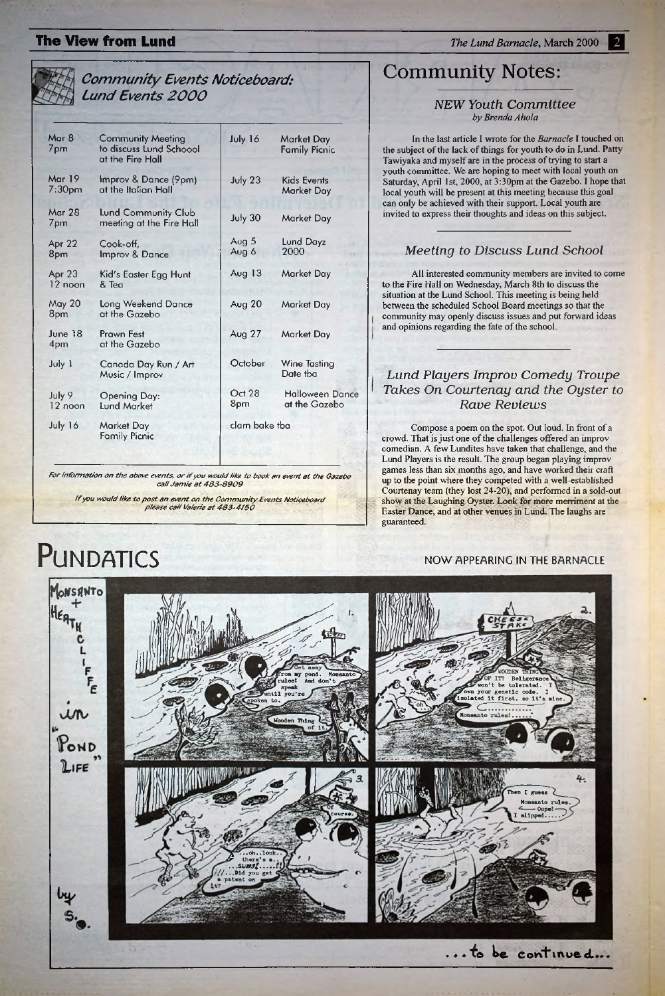## **The View from Lund 2000 2000 2000 2000 2000 2000 2000 2000 2000 2000 2000 2000 2000 2000 2000 2000 2000 2000 2000 2000 2000 2000 2000 2000 2000 2000 2000 2000 2000**

## *Community Events Noticeboard: Lund Events 2000*

## **Community Notes:**

### *NEW Youth Committee by Brenda Ahola*

In the last article I wrote for the *Barnacle* I touched on the subject of the lack of things for youth to do in Lund. Patty Tawiyaka and myself are in the process of trying to start a youth committee. We are hoping to meet with local youth on Saturday, April 1st, 2000, at 3:30pm at the Gazebo. I hope that local youth will be present at this meeting because this goal can only be achieved with their support. Local youth are invited to express their thoughts and ideas on this subject.

| Mar 8<br>7pm                        | <b>Community Meeting</b><br>to discuss Lund Schoool<br>at the Fire Hall | July 16        | Market Day<br><b>Family Picnic</b>      |
|-------------------------------------|-------------------------------------------------------------------------|----------------|-----------------------------------------|
| <b>Mar 19</b><br>7:30 <sub>pm</sub> | Improv & Dance (9pm)<br>at the Italian Hall                             | July 23        | <b>Kids Events</b><br><b>Market Day</b> |
| Mar 28<br>7pm                       | Lund Community Club<br>meeting at the Fire Hall                         | July 30        | Market Day                              |
| Apr 22<br>8pm                       | Cook-off,<br>Improv & Dance                                             | Aug 5<br>Aug 6 | Lund Dayz<br>2000                       |
| Apr 23<br>12 noon                   | Kid's Easter Egg Hunt<br>& Tea                                          | Aug $13$       | Market Day                              |
| May 20<br>8pm                       | <b>Long Weekend Dance</b><br>at the Gazebo                              | Aug $20$       | Market Day                              |
| June 18<br>4pm                      | <b>Prawn Fest</b><br>at the Gazebo                                      | Aug $27$       | <b>Market Day</b>                       |
| July 1                              | Canada Day Run / Art<br>Music / Improv                                  | October        | Wine Tasting<br>Date tba                |
| July 9<br>12 noon                   | <b>Opening Day:</b><br><b>Lund Market</b>                               | Oct 28<br>8pm  | <b>Halloween Dance</b><br>at the Gazebo |
| July 16                             | <b>Market Day</b><br><b>Family Picnic</b>                               | clam bake tba  |                                         |
|                                     |                                                                         |                |                                         |

*For information on the above events, or if you would like to book an event at the Gazebo call Jam ie at 483-8909*



*If you would like to post an event on the Community Events Noticeboard piease caff Vaferie at 483-4150*



## *Meeting to Discuss Lund School*

All interested community members are invited to come to the Fire Hall on Wednesday, March 8th to discuss the situation at the Lund School. This meeting is being held between the scheduled School Board meetings so that the community may openly discuss issues and put forward ideas and opinions regarding the fate of the school.

## *Lund Players Improv Comedy Troupe Takes On Courtenay and the Oyster to Rave Reviews*

Compose a poem on the spot. Out loud. In front of a crowd. That is just one of the challenges offered an improv comedian. A few Lundites have taken that challenge, and the Lund Players is the result. The group began playing improv games less than six months ago, and have worked their craft up to the point where they competed with a well-established Courtenay team (they lost 24-20), and performed in a sold-out show et the Laughing: Oyster. Look *for* more merriment at the Easter Dance, and at other venues in **Lund.** The laughs are guaranteed.

## **PUNDATICS** NOW APPEARING IN THE BARNACLE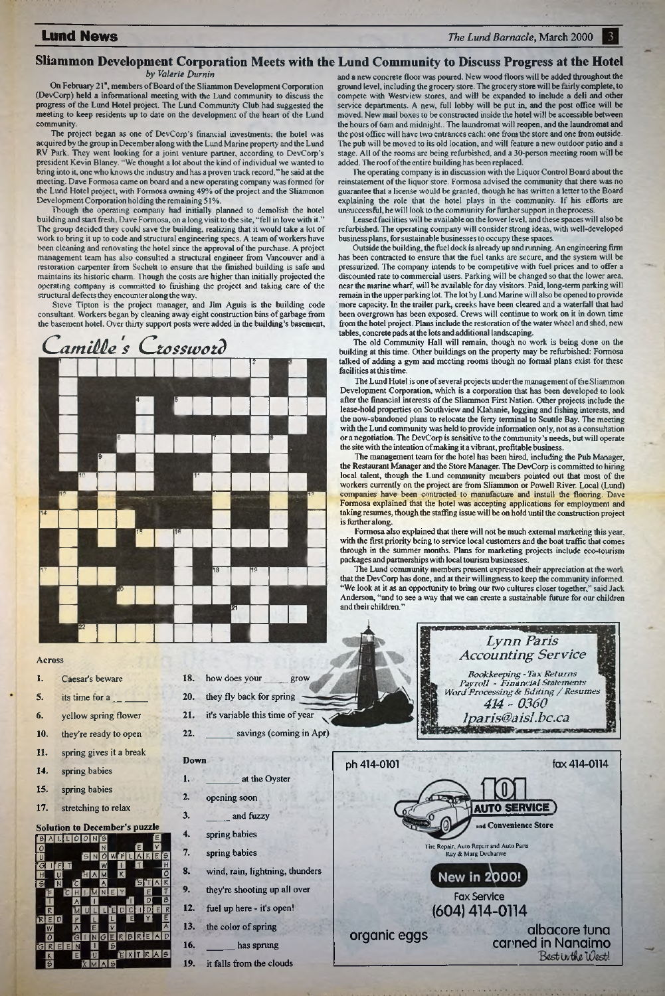### **Lund News** *The Lund Barnacle*, March 2000 3.

### *by Valerie Diarnin*

On February 21", members of Board of the Sliammon Development Corporation (DevCorp) held a informational meeting with the Lund community to discuss the progress of the Lund Hotel project. The Lund Community Club had suggested the meeting to keep residents up to date on the development of the heart of the Lund community.

The project began as one of DevCorp's financial investments; the hotel was acquired by the group in December along with the Lund Marine property and the Lund RV Park. They went looking for a joint venture partner, according to DevCorp's president Kevin Blaney. "We thought a lot about the kind of individual we wanted to bring into it, one who knows the industry and has a proven track record," he said at the meeting. Dave Formosa came on hoard and a new operating company was formed for the Lund Hotel project, with Formosa owning 49% of the project and the Sliammon Development Corporation bolding the remaining 51%.

- 1, Caesar's beware
- 5. its time for a
- 6. yellow spring flower
- 
- 20. they fly back for spring

18. how does your

Though the operating company had initially planned to demolish the hotel building and start fresh, Dave Formosa, on a long visit to the site, "fell in love with it." The group decided they could save the building, realizing that it would take a lot of work to bring it up to code and structural engineering specs. A team of workers have been cleaning and renovating the hotel since the approval of the purchase. A project management team has also consulted a structural engineer from Vancouver and a restoration carpenter from Secheh to ensure that the finished building is safe and maintains its historic charm. Though the costs are higher than initially projected the operating company is committed to finishing the project and taking care of the structural defects they encounter along the way.

### **Sliammon Development Corporation Meets with the Lund Community to Discuss Progress at the Hotel**

Steve Tipton is the project manager, and Jim Aguis is the building code consultant. Workers began by cleaning away eight construction bins of garbage from the basement hotel. Over thirty support posts were added in the building's basement,



### Across

grow

- 10. they're ready to open
- **11**. spring gives it a break
- 14. spring babies
- 15. spring babies
- 17. stretching to relax
- 21. it's variable this time of year
	-

**22**.



The Lund Hotel is one of several projects under the management ofthe Sliammon Development Corporation, which is a corporation that has been developed to look after the financial interests of the Sliammon First Nation. Other projects include the lease-hold properties on Southview and Klahanie, logging and fishing interests, and the now-abandoned plans to relocate the ferry terminal to Scuttle Bay. The meeting with the Lund community was held to provide information only, not as a consultation or a negotiation. The DevCorp is sensitive to the community's needs, but will operate the site with the intention of making it a vibrant, profitable business.

1.

3.

- Down at the Oyster
- 2. opening soon
	- and fuzzy
	- spring babies
	- spring babies
	- wind, rain, lightning, thunders
	- they're shooting up all over
- 12. fuel up here it's open!
- 13. the color of spring
- 16. has sprung
- 19. it falls from the clouds

and a new concrete floor was poured. New wood floors will be added throughout the ground level, including the grocery store. The grocery store will be fairly complete, to compete with Westview stores, and will be expanded to include a deli and other service departments. A new, full lobby will be put in, and the post office will be moved. New mail boxes to be constructed inside the hotel will be accessible between the hours of 6am and midnight.. The laundromat will reopen, and the laundromat and the post office will have two entrances each: one from the store and one from outside. The pub will be moved to its old location, and will feature a new outdoor patio and a stage. All of the rooms are being refurbished, and a 30-person meeting room will be added. The roof of the entire building has been replaced.

The Lund community members present expressed their appreciation at the work that the DevCorp has done, and at their willingness to keep the community informed. "We look at it as an opportunity to bring our two cultures closer together," said Jack Anderson, "and to see a way that we can create a sustainable future for our children and their children."

The operating company is in discussion with the Liquor Control Board about the reinstatement of the liquor store. Formosa advised the community that there was no guarantee that a license would be granted, though he has written a letter to the Board explaining the role that the hotel plays in the community. If his efforts are unsuccessful, he will look to the community for further support in the process.

Leased facilities will be available on the lower level, and these spaces will also be refurbished. The operating company will consider strong ideas, with well-developed business plans, for sustainable businesses to occupy these spaces.

Outside the building, the fuel dock is already up and running. An engineering firm has been contracted to ensure that the fuel tanks are secure, and the system will be pressurized. The company intends to be competitive with fuel prices and to offer a discounted rate to commercial users. Parking will be changed so that the lower area, near the marine wharf, will be available for day visitors. Paid, long-term parking will remain in the upper parking lot. The lot by Lund Marine will also be opened to provide more capacity. In the trailer park, creeks have been cleared and a waterfall that had been overgrown has been exposed. Crews will continue to work on it in down time from the hotel project. Plans include the restoration of the water wheel and shed, new tables, concrete pads at the lots and additional landscaping.

The old Community Hall will remain, though no work is being done on the building at this time. Other buildings on the property may be refurbished: Formosa talked of adding a gym and meeting rooms though no formal plans exist for these facilities at this time.

The management team for the hotel has been hired, including the Pub Manager, the Restaurant Manager and the Store Manager. The DevCorp is committed to hiring local talent, though the Lund community members pointed out that most of the workers currently on the project are from Sliammon or Powell River. Local (Lund) companies have been contracted to manufacture and install the flooring. Dave Formosa explained that the hotel was accepting applications for employment and taking resumes, though the staffing issue will be on hold until the construction project is further along.

Formosa also explained that there will not be much external marketing this year, with the first priority being to service local customers and the boat traffic that comes through in the summer months. Plans for marketing projects include eco-tourisrn packages and partnerships with local tourism businesses.

savings (coming in Apr)